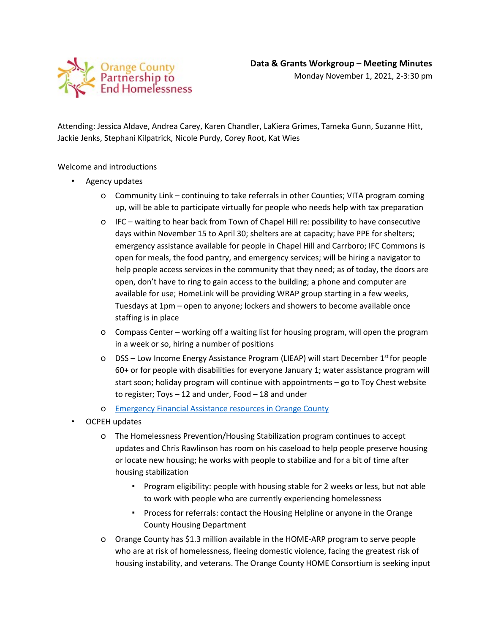

Attending: Jessica Aldave, Andrea Carey, Karen Chandler, LaKiera Grimes, Tameka Gunn, Suzanne Hitt, Jackie Jenks, Stephani Kilpatrick, Nicole Purdy, Corey Root, Kat Wies

## Welcome and introductions

- Agency updates
	- o Community Link continuing to take referrals in other Counties; VITA program coming up, will be able to participate virtually for people who needs help with tax preparation
	- o IFC waiting to hear back from Town of Chapel Hill re: possibility to have consecutive days within November 15 to April 30; shelters are at capacity; have PPE for shelters; emergency assistance available for people in Chapel Hill and Carrboro; IFC Commons is open for meals, the food pantry, and emergency services; will be hiring a navigator to help people access services in the community that they need; as of today, the doors are open, don't have to ring to gain access to the building; a phone and computer are available for use; HomeLink will be providing WRAP group starting in a few weeks, Tuesdays at 1pm – open to anyone; lockers and showers to become available once staffing is in place
	- o Compass Center working off a waiting list for housing program, will open the program in a week or so, hiring a number of positions
	- o DSS Low Income Energy Assistance Program (LIEAP) will start December  $1<sup>st</sup>$  for people 60+ or for people with disabilities for everyone January 1; water assistance program will start soon; holiday program will continue with appointments – go to Toy Chest website to register; Toys – 12 and under, Food – 18 and under
	- o [Emergency Financial Assistance resources in Orange County](https://docs.google.com/document/d/1NCLoouOiiBnrsJvDoEj0j7tDhyf7MWsMico1QYK1_dk/edit?usp=sharing)
- OCPEH updates
	- o The Homelessness Prevention/Housing Stabilization program continues to accept updates and Chris Rawlinson has room on his caseload to help people preserve housing or locate new housing; he works with people to stabilize and for a bit of time after housing stabilization
		- Program eligibility: people with housing stable for 2 weeks or less, but not able to work with people who are currently experiencing homelessness
		- Process for referrals: contact the Housing Helpline or anyone in the Orange County Housing Department
	- o Orange County has \$1.3 million available in the HOME-ARP program to serve people who are at risk of homelessness, fleeing domestic violence, facing the greatest risk of housing instability, and veterans. The Orange County HOME Consortium is seeking input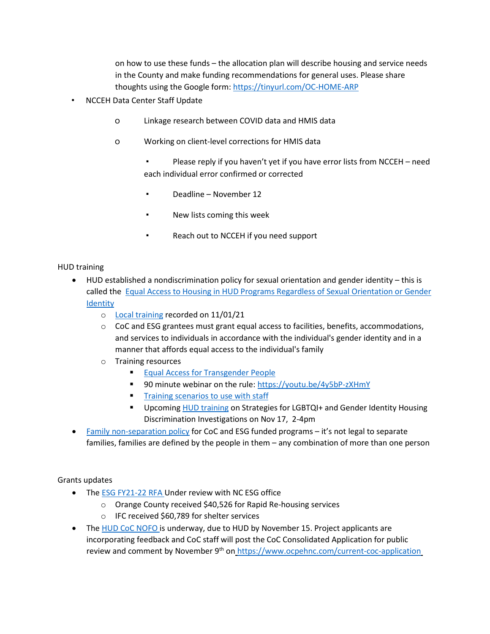on how to use these funds – the allocation plan will describe housing and service needs in the County and make funding recommendations for general uses. Please share thoughts using the Google form:<https://tinyurl.com/OC-HOME-ARP>

- NCCEH Data Center Staff Update
	- o Linkage research between COVID data and HMIS data
	- o Working on client-level corrections for HMIS data
		- Please reply if you haven't yet if you have error lists from NCCEH need each individual error confirmed or corrected
		- Deadline November 12
		- New lists coming this week
		- Reach out to NCCEH if you need support

## HUD training

- HUD established a nondiscrimination policy for sexual orientation and gender identity this is called the [Equal Access to Housing in HUD Programs Regardless of Sexual Orientation or Gender](https://www.hudexchange.info/resource/1991/equal-access-to-housing-final-rule/)  [Identity](https://www.hudexchange.info/resource/1991/equal-access-to-housing-final-rule/)
	- o [Local training](https://youtu.be/23zjydjbfEY) recorded on 11/01/21
	- $\circ$  CoC and ESG grantees must grant equal access to facilities, benefits, accommodations, and services to individuals in accordance with the individual's gender identity and in a manner that affords equal access to the individual's family
	- o Training resources
		- **[Equal Access for Transgender People](https://files.hudexchange.info/resources/documents/Equal-Access-for-Transgender-People-Supporting-Inclusive-Housing-and-Shelters.pdf)**
		- 90 minute webinar on the rule[: https://youtu.be/4y5bP-zXHmY](https://youtu.be/4y5bP-zXHmY)
		- **[Training scenarios to use with staff](https://www.hudexchange.info/resource/4951/equal-access-staff-training-scenarios/)**
		- Upcoming HUD training on Strategies for LGBTQI+ and Gender Identity Housing Discrimination Investigations on Nov 17, 2-4pm
- [Family non-separation policy](https://www.federalregister.gov/documents/2021/04/02/2021-06758/housing-and-community-development-act-of-1980-verification-of-eligible-status-withdrawal-regulatory) for CoC and ESG funded programs it's not legal to separate families, families are defined by the people in them – any combination of more than one person

## Grants updates

- The [ESG FY21-22 RFA](https://www.ncdhhs.gov/divisions/aging-and-adult-services/nc-emergency-solutions-grant/nc-emergency-solutions-grant-grantee-information/aging-and-adult-services-grant-opportunities) Under review with NC ESG office
	- o Orange County received \$40,526 for Rapid Re-housing services
	- o IFC received \$60,789 for shelter services
- The [HUD CoC NOFO](https://www.hudexchange.info/programs/e-snaps/fy-2021-coc-program-nofa-coc-program-competition/) is underway, due to HUD by November 15. Project applicants are incorporating feedback and CoC staff will post the CoC Consolidated Application for public review and comment by November 9<sup>th</sup> on <https://www.ocpehnc.com/current-coc-application>